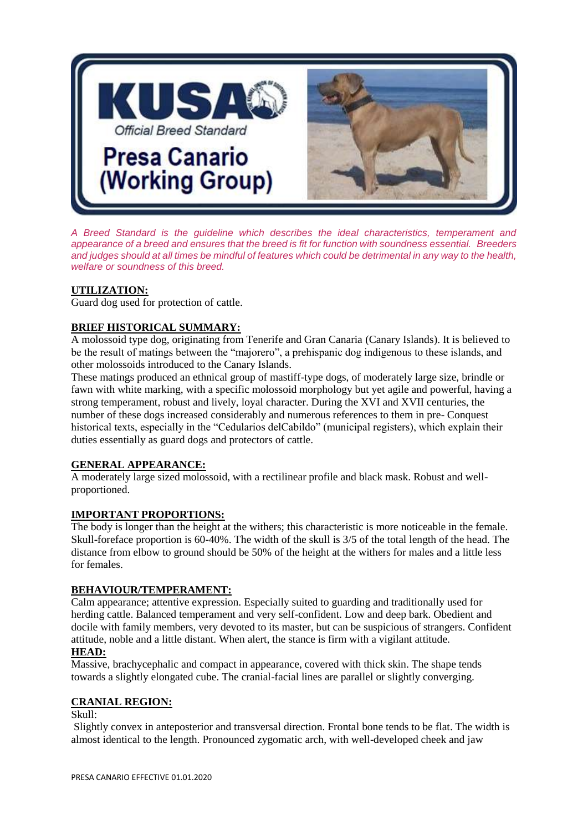

*A Breed Standard is the guideline which describes the ideal characteristics, temperament and appearance of a breed and ensures that the breed is fit for function with soundness essential. Breeders and judges should at all times be mindful of features which could be detrimental in any way to the health, welfare or soundness of this breed.*

## **UTILIZATION:**

Guard dog used for protection of cattle.

## **BRIEF HISTORICAL SUMMARY:**

A molossoid type dog, originating from Tenerife and Gran Canaria (Canary Islands). It is believed to be the result of matings between the "majorero", a prehispanic dog indigenous to these islands, and other molossoids introduced to the Canary Islands.

These matings produced an ethnical group of mastiff-type dogs, of moderately large size, brindle or fawn with white marking, with a specific molossoid morphology but yet agile and powerful, having a strong temperament, robust and lively, loyal character. During the XVI and XVII centuries, the number of these dogs increased considerably and numerous references to them in pre- Conquest historical texts, especially in the "Cedularios delCabildo" (municipal registers), which explain their duties essentially as guard dogs and protectors of cattle.

#### **GENERAL APPEARANCE:**

A moderately large sized molossoid, with a rectilinear profile and black mask. Robust and wellproportioned.

## **IMPORTANT PROPORTIONS:**

The body is longer than the height at the withers; this characteristic is more noticeable in the female. Skull-foreface proportion is 60-40%. The width of the skull is 3/5 of the total length of the head. The distance from elbow to ground should be 50% of the height at the withers for males and a little less for females.

## **BEHAVIOUR/TEMPERAMENT:**

Calm appearance; attentive expression. Especially suited to guarding and traditionally used for herding cattle. Balanced temperament and very self-confident. Low and deep bark. Obedient and docile with family members, very devoted to its master, but can be suspicious of strangers. Confident attitude, noble and a little distant. When alert, the stance is firm with a vigilant attitude.

# **HEAD:**

Massive, brachycephalic and compact in appearance, covered with thick skin. The shape tends towards a slightly elongated cube. The cranial-facial lines are parallel or slightly converging.

#### **CRANIAL REGION:**

Skull:

Slightly convex in anteposterior and transversal direction. Frontal bone tends to be flat. The width is almost identical to the length. Pronounced zygomatic arch, with well-developed cheek and jaw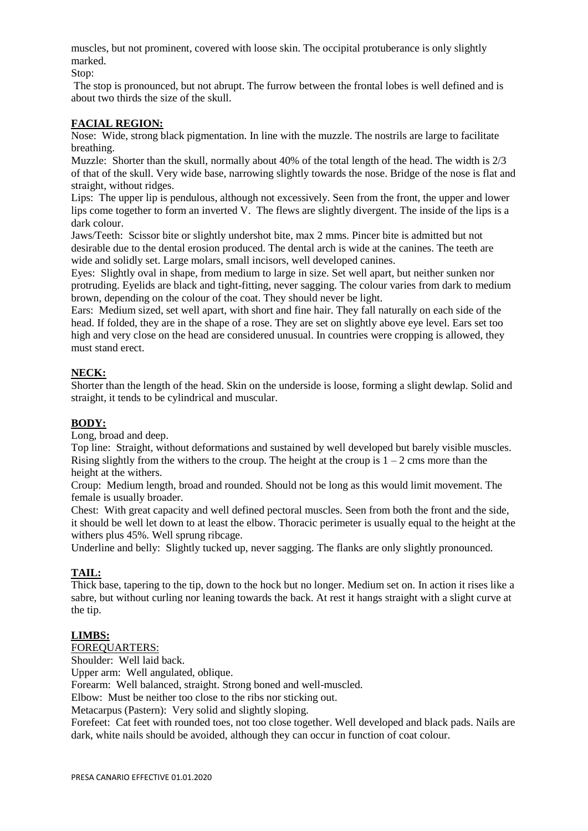muscles, but not prominent, covered with loose skin. The occipital protuberance is only slightly marked.

Stop:

The stop is pronounced, but not abrupt. The furrow between the frontal lobes is well defined and is about two thirds the size of the skull.

## **FACIAL REGION:**

Nose: Wide, strong black pigmentation. In line with the muzzle. The nostrils are large to facilitate breathing.

Muzzle: Shorter than the skull, normally about 40% of the total length of the head. The width is 2/3 of that of the skull. Very wide base, narrowing slightly towards the nose. Bridge of the nose is flat and straight, without ridges.

Lips: The upper lip is pendulous, although not excessively. Seen from the front, the upper and lower lips come together to form an inverted V. The flews are slightly divergent. The inside of the lips is a dark colour.

Jaws/Teeth: Scissor bite or slightly undershot bite, max 2 mms. Pincer bite is admitted but not desirable due to the dental erosion produced. The dental arch is wide at the canines. The teeth are wide and solidly set. Large molars, small incisors, well developed canines.

Eyes: Slightly oval in shape, from medium to large in size. Set well apart, but neither sunken nor protruding. Eyelids are black and tight-fitting, never sagging. The colour varies from dark to medium brown, depending on the colour of the coat. They should never be light.

Ears: Medium sized, set well apart, with short and fine hair. They fall naturally on each side of the head. If folded, they are in the shape of a rose. They are set on slightly above eye level. Ears set too high and very close on the head are considered unusual. In countries were cropping is allowed, they must stand erect.

# **NECK:**

Shorter than the length of the head. Skin on the underside is loose, forming a slight dewlap. Solid and straight, it tends to be cylindrical and muscular.

## **BODY:**

Long, broad and deep.

Top line: Straight, without deformations and sustained by well developed but barely visible muscles. Rising slightly from the withers to the croup. The height at the croup is  $1 - 2$  cms more than the height at the withers.

Croup: Medium length, broad and rounded. Should not be long as this would limit movement. The female is usually broader.

Chest: With great capacity and well defined pectoral muscles. Seen from both the front and the side, it should be well let down to at least the elbow. Thoracic perimeter is usually equal to the height at the withers plus 45%. Well sprung ribcage.

Underline and belly: Slightly tucked up, never sagging. The flanks are only slightly pronounced.

## **TAIL:**

Thick base, tapering to the tip, down to the hock but no longer. Medium set on. In action it rises like a sabre, but without curling nor leaning towards the back. At rest it hangs straight with a slight curve at the tip.

## **LIMBS:**

#### FOREQUARTERS:

Shoulder: Well laid back.

Upper arm: Well angulated, oblique.

Forearm: Well balanced, straight. Strong boned and well-muscled.

Elbow: Must be neither too close to the ribs nor sticking out.

Metacarpus (Pastern): Very solid and slightly sloping.

Forefeet: Cat feet with rounded toes, not too close together. Well developed and black pads. Nails are dark, white nails should be avoided, although they can occur in function of coat colour.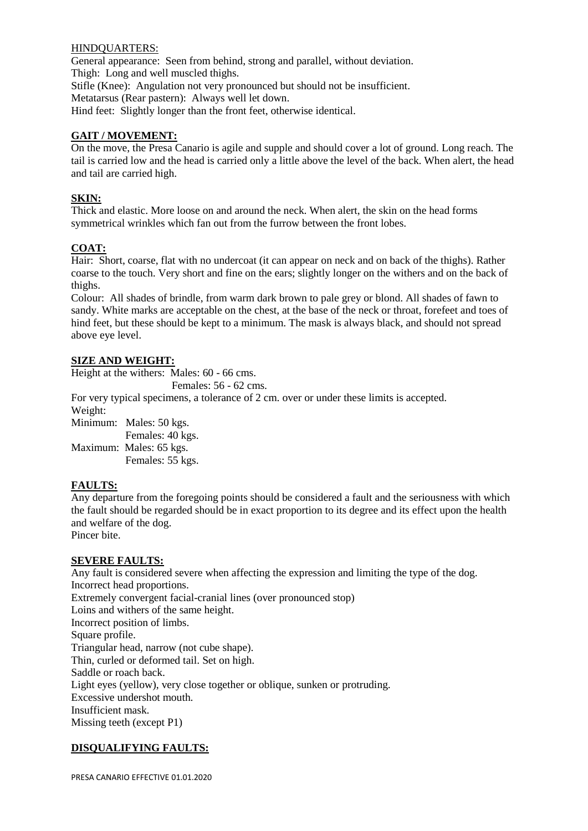#### HINDQUARTERS:

General appearance: Seen from behind, strong and parallel, without deviation. Thigh: Long and well muscled thighs. Stifle (Knee): Angulation not very pronounced but should not be insufficient. Metatarsus (Rear pastern): Always well let down. Hind feet: Slightly longer than the front feet, otherwise identical.

## **GAIT / MOVEMENT:**

On the move, the Presa Canario is agile and supple and should cover a lot of ground. Long reach. The tail is carried low and the head is carried only a little above the level of the back. When alert, the head and tail are carried high.

## **SKIN:**

Thick and elastic. More loose on and around the neck. When alert, the skin on the head forms symmetrical wrinkles which fan out from the furrow between the front lobes.

## **COAT:**

Hair: Short, coarse, flat with no undercoat (it can appear on neck and on back of the thighs). Rather coarse to the touch. Very short and fine on the ears; slightly longer on the withers and on the back of thighs.

Colour: All shades of brindle, from warm dark brown to pale grey or blond. All shades of fawn to sandy. White marks are acceptable on the chest, at the base of the neck or throat, forefeet and toes of hind feet, but these should be kept to a minimum. The mask is always black, and should not spread above eye level.

## **SIZE AND WEIGHT:**

Height at the withers: Males: 60 - 66 cms.

Females: 56 - 62 cms.

For very typical specimens, a tolerance of 2 cm. over or under these limits is accepted. Weight:

Minimum: Males: 50 kgs.

 Females: 40 kgs. Maximum: Males: 65 kgs. Females: 55 kgs.

## **FAULTS:**

Any departure from the foregoing points should be considered a fault and the seriousness with which the fault should be regarded should be in exact proportion to its degree and its effect upon the health and welfare of the dog.

Pincer bite.

#### **SEVERE FAULTS:**

Any fault is considered severe when affecting the expression and limiting the type of the dog. Incorrect head proportions. Extremely convergent facial-cranial lines (over pronounced stop) Loins and withers of the same height. Incorrect position of limbs. Square profile. Triangular head, narrow (not cube shape). Thin, curled or deformed tail. Set on high. Saddle or roach back. Light eyes (yellow), very close together or oblique, sunken or protruding. Excessive undershot mouth. Insufficient mask. Missing teeth (except P1)

## **DISQUALIFYING FAULTS:**